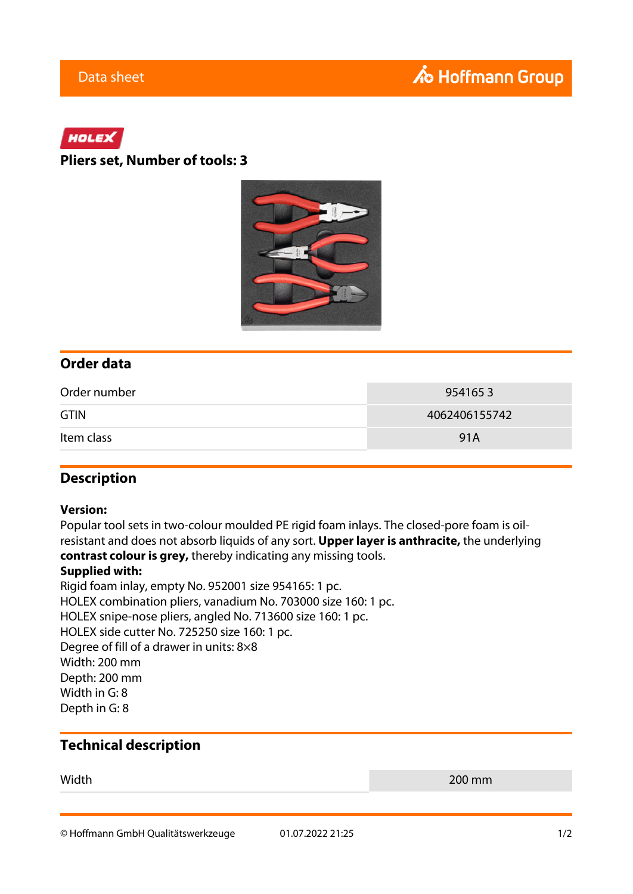# HOLEX

### **Pliers set, Number of tools: 3**



### **Order data**

| Order number | 9541653       |
|--------------|---------------|
| <b>GTIN</b>  | 4062406155742 |
| Item class   | 91A           |

### **Description**

#### **Version:**

Popular tool sets in two-colour moulded PE rigid foam inlays. The closed-pore foam is oilresistant and does not absorb liquids of any sort. **Upper layer is anthracite,** the underlying **contrast colour is grey,** thereby indicating any missing tools.

#### **Supplied with:**

Rigid foam inlay, empty No. 952001 size 954165: 1 pc. HOLEX combination pliers, vanadium No. 703000 size 160: 1 pc. HOLEX snipe-nose pliers, angled No. 713600 size 160: 1 pc. HOLEX side cutter No. 725250 size 160: 1 pc. Degree of fill of a drawer in units: 8×8 Width: 200 mm Depth: 200 mm Width in G: 8 Depth in G: 8

## **Technical description**

Width 200 mm